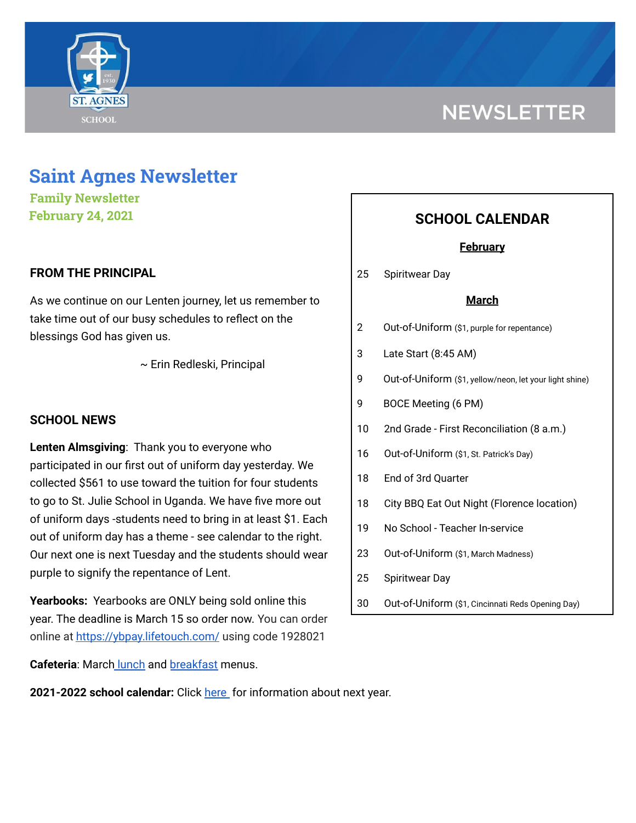

# **NEWSLETTER**

## **Saint Agnes Newsletter**

**Family Newsletter February 24, 2021**

## **FROM THE PRINCIPAL**

As we continue on our Lenten journey, let us remember to take time out of our busy schedules to reflect on the blessings God has given us.

~ Erin Redleski, Principal

## **SCHOOL NEWS**

**Lenten Almsgiving**: Thank you to everyone who participated in our first out of uniform day yesterday. We collected \$561 to use toward the tuition for four students to go to St. Julie School in Uganda. We have five more out of uniform days -students need to bring in at least \$1. Each out of uniform day has a theme - see calendar to the right. Our next one is next Tuesday and the students should wear purple to signify the repentance of Lent.

**Yearbooks:** Yearbooks are ONLY being sold online this year. The deadline is March 15 so order now. You can order online at <https://ybpay.lifetouch.com/> using code 1928021

**Cafeteria**: March [lunch](https://school.saintagnes.com/wp-content/uploads/2021/02/March-ES-21.pdf) and [breakfast](https://school.saintagnes.com/wp-content/uploads/2021/02/March-Breakfast-21.pdf) menus.

## **2021-2022 school calendar:** Click [here](https://school.saintagnes.com/wp-content/uploads/2021/02/2021-2022-School-Calendar-Parents.pdf) for information about next year.

## **SCHOOL CALENDAR**

## **February**

25 Spiritwear Day

### **March**

- 2 Out-of-Uniform (\$1, purple for repentance)
- 3 Late Start (8:45 AM)
- 9 Out-of-Uniform (\$1, yellow/neon, let your light shine)
- 9 BOCE Meeting (6 PM)
- 10 2nd Grade First Reconciliation (8 a.m.)
- 16 Out-of-Uniform (\$1, St. Patrick's Day)
- 18 End of 3rd Quarter
- 18 City BBQ Eat Out Night (Florence location)
- 19 No School Teacher In-service
- 23 Out-of-Uniform (\$1, March Madness)
- 25 Spiritwear Day
- 30 Out-of-Uniform (\$1, Cincinnati Reds Opening Day)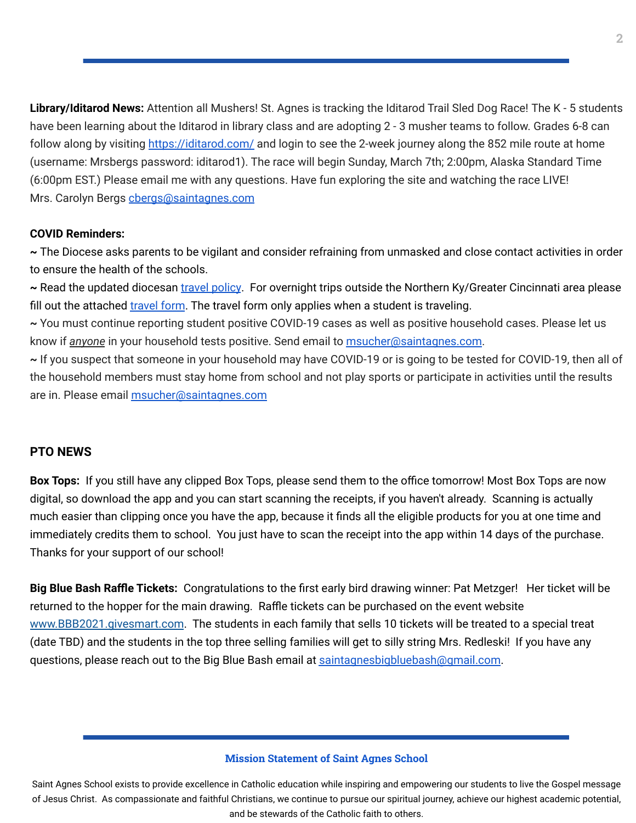**Library/Iditarod News:** Attention all Mushers! St. Agnes is tracking the Iditarod Trail Sled Dog Race! The K - 5 students have been learning about the Iditarod in library class and are adopting 2 - 3 musher teams to follow. Grades 6-8 can follow along by visiting <https://iditarod.com/> and login to see the 2-week journey along the 852 mile route at home (username: Mrsbergs password: iditarod1). The race will begin Sunday, March 7th; 2:00pm, Alaska Standard Time (6:00pm EST.) Please email me with any questions. Have fun exploring the site and watching the race LIVE! Mrs. Carolyn Bergs [cbergs@saintagnes.com](mailto:cbergs@saintagnes.com)

#### **COVID Reminders:**

**~** The Diocese asks parents to be vigilant and consider refraining from unmasked and close contact activities in order to ensure the health of the schools.

**~** Read the updated diocesan travel [policy](https://school.saintagnes.com/wp-content/uploads/2021/02/Travel-Quarentine-Update-Feb.-2021.pdf). For overnight trips outside the Northern Ky/Greater Cincinnati area please fill out the attached [travel](https://docs.google.com/forms/d/1G4JmfFWk29Sxg_3O81r5EB0F7IYJyTofEAGJ9wd5aO4/edit?ts=5f985dbb&gxids=7628) form. The travel form only applies when a student is traveling.

**~** You must continue reporting student positive COVID-19 cases as well as positive household cases. Please let us know if *anyone* in your household tests positive. Send email to [msucher@saintagnes.com](mailto:msucher@saintagnes.com).

**~** If you suspect that someone in your household may have COVID-19 or is going to be tested for COVID-19, then all of the household members must stay home from school and not play sports or participate in activities until the results are in. Please email [msucher@saintagnes.com](mailto:msucher@saintagnes.com)

#### **PTO NEWS**

**Box Tops:** If you still have any clipped Box Tops, please send them to the office tomorrow! Most Box Tops are now digital, so download the app and you can start scanning the receipts, if you haven't already. Scanning is actually much easier than clipping once you have the app, because it finds all the eligible products for you at one time and immediately credits them to school. You just have to scan the receipt into the app within 14 days of the purchase. Thanks for your support of our school!

**Big Blue Bash Raffle Tickets:** Congratulations to the first early bird drawing winner: Pat Metzger! Her ticket will be returned to the hopper for the main drawing. Raffle tickets can be purchased on the event website [www.BBB2021.givesmart.com](http://www.bbb2021.givesmart.com/). The students in each family that sells 10 tickets will be treated to a special treat (date TBD) and the students in the top three selling families will get to silly string Mrs. Redleski! If you have any questions, please reach out to the Big Blue Bash email at [saintagnesbigbluebash@gmail.com](mailto:saintagnesbigbluebash@gmail.com).

#### **Mission Statement of Saint Agnes School**

Saint Agnes School exists to provide excellence in Catholic education while inspiring and empowering our students to live the Gospel message of Jesus Christ. As compassionate and faithful Christians, we continue to pursue our spiritual journey, achieve our highest academic potential, and be stewards of the Catholic faith to others.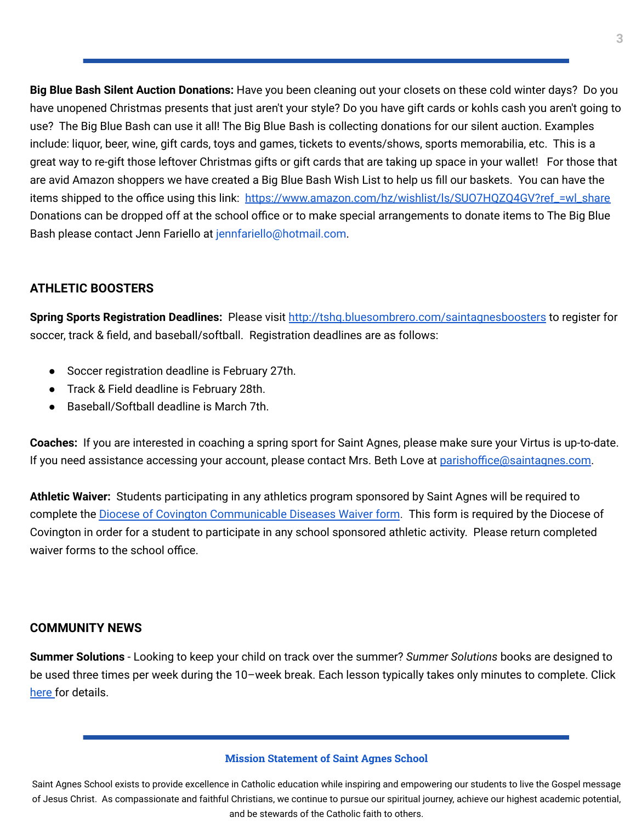**Big Blue Bash Silent Auction Donations:** Have you been cleaning out your closets on these cold winter days? Do you have unopened Christmas presents that just aren't your style? Do you have gift cards or kohls cash you aren't going to use? The Big Blue Bash can use it all! The Big Blue Bash is collecting donations for our silent auction. Examples include: liquor, beer, wine, gift cards, toys and games, tickets to events/shows, sports memorabilia, etc. This is a great way to re-gift those leftover Christmas gifts or gift cards that are taking up space in your wallet! For those that are avid Amazon shoppers we have created a Big Blue Bash Wish List to help us fill our baskets. You can have the items shipped to the office using this link: [https://www.amazon.com/hz/wishlist/ls/SUO7HQZQ4GV?ref\\_=wl\\_share](https://www.amazon.com/hz/wishlist/ls/SUO7HQZQ4GV?ref_=wl_share) Donations can be dropped off at the school office or to make special arrangements to donate items to The Big Blue Bash please contact Jenn Fariello at jennfariello@hotmail.com.

## **ATHLETIC BOOSTERS**

**Spring Sports Registration Deadlines:** Please visit <http://tshq.bluesombrero.com/saintagnesboosters> to register for soccer, track & field, and baseball/softball. Registration deadlines are as follows:

- Soccer registration deadline is February 27th.
- Track & Field deadline is February 28th.
- Baseball/Softball deadline is March 7th.

**Coaches:** If you are interested in coaching a spring sport for Saint Agnes, please make sure your Virtus is up-to-date. If you need assistance accessing your account, please contact Mrs. Beth Love at [parishoffice@saintagnes.com](mailto:parishoffice@saintagnes.com).

**Athletic Waiver:** Students participating in any athletics program sponsored by Saint Agnes will be required to complete the Diocese of Covington [Communicable](https://school.saintagnes.com/wp-content/uploads/2021/02/Sports-COVID-19-Waiver-2021.pdf) Diseases Waiver form. This form is required by the Diocese of Covington in order for a student to participate in any school sponsored athletic activity. Please return completed waiver forms to the school office.

## **COMMUNITY NEWS**

**Summer Solutions** - Looking to keep your child on track over the summer? *Summer Solutions* books are designed to be used three times per week during the 10–week break. Each lesson typically takes only minutes to complete. Click [here](https://school.saintagnes.com/wp-content/uploads/2021/02/2021-summer-solutions.pdf) for details.

#### **Mission Statement of Saint Agnes School**

Saint Agnes School exists to provide excellence in Catholic education while inspiring and empowering our students to live the Gospel message of Jesus Christ. As compassionate and faithful Christians, we continue to pursue our spiritual journey, achieve our highest academic potential, and be stewards of the Catholic faith to others.